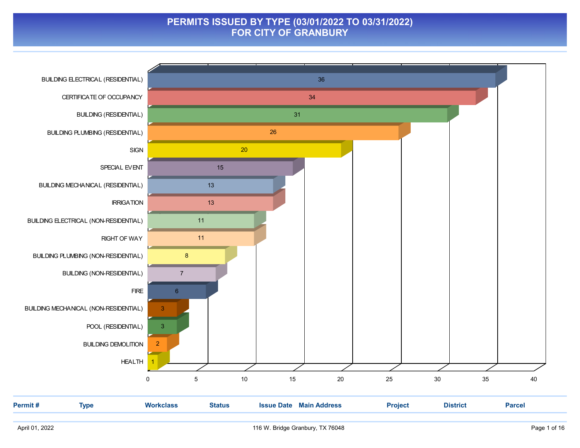### PERMITS ISSUED BY TYPE (03/01/2022 TO 03/31/2022) FOR CITY OF GRANBURY

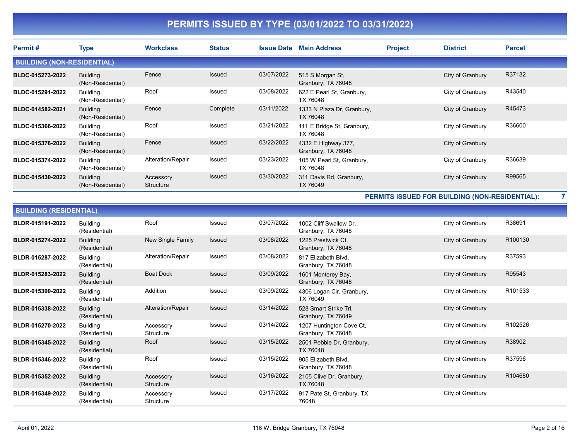| Permit#                           | <b>Type</b>                          | <b>Workclass</b>       | <b>Status</b> | <b>Issue Date</b> | <b>Main Address</b>                       | <b>Project</b> | <b>District</b>  | <b>Parcel</b> |
|-----------------------------------|--------------------------------------|------------------------|---------------|-------------------|-------------------------------------------|----------------|------------------|---------------|
| <b>BUILDING (NON-RESIDENTIAL)</b> |                                      |                        |               |                   |                                           |                |                  |               |
| BLDC-015273-2022                  | Building<br>(Non-Residential)        | Fence                  | <b>Issued</b> | 03/07/2022        | 515 S Morgan St.<br>Granbury, TX 76048    |                | City of Granbury | R37132        |
| BLDC-015291-2022                  | Building<br>(Non-Residential)        | Roof                   | Issued        | 03/08/2022        | 622 E Pearl St, Granbury,<br>TX 76048     |                | City of Granbury | R43540        |
| BLDC-014582-2021                  | <b>Building</b><br>(Non-Residential) | Fence                  | Complete      | 03/11/2022        | 1333 N Plaza Dr, Granbury,<br>TX 76048    |                | City of Granbury | R45473        |
| BLDC-015366-2022                  | Building<br>(Non-Residential)        | Roof                   | Issued        | 03/21/2022        | 111 E Bridge St, Granbury,<br>TX 76048    |                | City of Granbury | R36600        |
| BLDC-015376-2022                  | Building<br>(Non-Residential)        | Fence                  | Issued        | 03/22/2022        | 4332 E Highway 377,<br>Granbury, TX 76048 |                | City of Granbury |               |
| BLDC-015374-2022                  | <b>Building</b><br>(Non-Residential) | Alteration/Repair      | Issued        | 03/23/2022        | 105 W Pearl St, Granbury,<br>TX 76048     |                | City of Granbury | R36639        |
| BLDC-015430-2022                  | <b>Building</b><br>(Non-Residential) | Accessory<br>Structure | Issued        | 03/30/2022        | 311 Davis Rd, Granbury,<br>TX 76049       |                | City of Granbury | R99565        |

PERMITS ISSUED FOR BUILDING (NON-RESIDENTIAL): 7

| <b>BUILDING (RESIDENTIAL)</b> |                                  |                        |               |            |                                                |                  |         |
|-------------------------------|----------------------------------|------------------------|---------------|------------|------------------------------------------------|------------------|---------|
| BLDR-015191-2022              | <b>Building</b><br>(Residential) | Roof                   | <b>Issued</b> | 03/07/2022 | 1002 Cliff Swallow Dr.<br>Granbury, TX 76048   | City of Granbury | R38691  |
| BLDR-015274-2022              | <b>Building</b><br>(Residential) | New Single Family      | <b>Issued</b> | 03/08/2022 | 1225 Prestwick Ct.<br>Granbury, TX 76048       | City of Granbury | R100130 |
| BLDR-015287-2022              | <b>Building</b><br>(Residential) | Alteration/Repair      | Issued        | 03/08/2022 | 817 Elizabeth Blvd,<br>Granbury, TX 76048      | City of Granbury | R37593  |
| BLDR-015283-2022              | <b>Building</b><br>(Residential) | <b>Boat Dock</b>       | <b>Issued</b> | 03/09/2022 | 1601 Monterey Bay,<br>Granbury, TX 76048       | City of Granbury | R95543  |
| BLDR-015300-2022              | <b>Building</b><br>(Residential) | Addition               | Issued        | 03/09/2022 | 4306 Logan Cir, Granbury,<br>TX 76049          | City of Granbury | R101533 |
| BLDR-015338-2022              | <b>Building</b><br>(Residential) | Alteration/Repair      | <b>Issued</b> | 03/14/2022 | 528 Smart Strike Trl,<br>Granbury, TX 76049    | City of Granbury |         |
| BLDR-015270-2022              | <b>Building</b><br>(Residential) | Accessory<br>Structure | <b>Issued</b> | 03/14/2022 | 1207 Huntington Cove Ct,<br>Granbury, TX 76048 | City of Granbury | R102526 |
| BLDR-015345-2022              | <b>Building</b><br>(Residential) | Roof                   | <b>Issued</b> | 03/15/2022 | 2501 Pebble Dr, Granbury,<br>TX 76048          | City of Granbury | R38902  |
| BLDR-015346-2022              | <b>Building</b><br>(Residential) | Roof                   | Issued        | 03/15/2022 | 905 Elizabeth Blvd,<br>Granbury, TX 76048      | City of Granbury | R37596  |
| BLDR-015352-2022              | <b>Building</b><br>(Residential) | Accessory<br>Structure | Issued        | 03/16/2022 | 2105 Clive Dr, Granbury,<br>TX 76048           | City of Granbury | R104680 |
| BLDR-015349-2022              | Building<br>(Residential)        | Accessory<br>Structure | Issued        | 03/17/2022 | 917 Pate St, Granbury, TX<br>76048             | City of Granbury |         |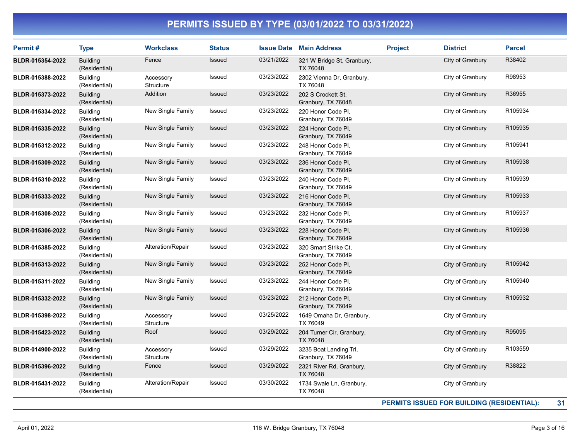| Permit#          | <b>Type</b>                      | <b>Workclass</b>              | <b>Status</b> |            | <b>Issue Date Main Address</b>               | <b>Project</b> | <b>District</b>                            | <b>Parcel</b> |
|------------------|----------------------------------|-------------------------------|---------------|------------|----------------------------------------------|----------------|--------------------------------------------|---------------|
| BLDR-015354-2022 | <b>Building</b><br>(Residential) | Fence                         | Issued        | 03/21/2022 | 321 W Bridge St, Granbury,<br>TX 76048       |                | City of Granbury                           | R38402        |
| BLDR-015388-2022 | <b>Building</b><br>(Residential) | Accessory<br>Structure        | Issued        | 03/23/2022 | 2302 Vienna Dr, Granbury,<br>TX 76048        |                | City of Granbury                           | R98953        |
| BLDR-015373-2022 | <b>Building</b><br>(Residential) | Addition                      | Issued        | 03/23/2022 | 202 S Crockett St.<br>Granbury, TX 76048     |                | City of Granbury                           | R36955        |
| BLDR-015334-2022 | <b>Building</b><br>(Residential) | New Single Family             | Issued        | 03/23/2022 | 220 Honor Code Pl,<br>Granbury, TX 76049     |                | City of Granbury                           | R105934       |
| BLDR-015335-2022 | <b>Building</b><br>(Residential) | New Single Family             | Issued        | 03/23/2022 | 224 Honor Code PI,<br>Granbury, TX 76049     |                | City of Granbury                           | R105935       |
| BLDR-015312-2022 | <b>Building</b><br>(Residential) | New Single Family             | Issued        | 03/23/2022 | 248 Honor Code PI.<br>Granbury, TX 76049     |                | City of Granbury                           | R105941       |
| BLDR-015309-2022 | <b>Building</b><br>(Residential) | New Single Family             | Issued        | 03/23/2022 | 236 Honor Code PI,<br>Granbury, TX 76049     |                | City of Granbury                           | R105938       |
| BLDR-015310-2022 | <b>Building</b><br>(Residential) | New Single Family             | Issued        | 03/23/2022 | 240 Honor Code PI,<br>Granbury, TX 76049     |                | City of Granbury                           | R105939       |
| BLDR-015333-2022 | <b>Building</b><br>(Residential) | New Single Family             | Issued        | 03/23/2022 | 216 Honor Code PI.<br>Granbury, TX 76049     |                | City of Granbury                           | R105933       |
| BLDR-015308-2022 | <b>Building</b><br>(Residential) | New Single Family             | Issued        | 03/23/2022 | 232 Honor Code Pl,<br>Granbury, TX 76049     |                | City of Granbury                           | R105937       |
| BLDR-015306-2022 | <b>Building</b><br>(Residential) | New Single Family             | Issued        | 03/23/2022 | 228 Honor Code PI,<br>Granbury, TX 76049     |                | City of Granbury                           | R105936       |
| BLDR-015385-2022 | <b>Building</b><br>(Residential) | Alteration/Repair             | Issued        | 03/23/2022 | 320 Smart Strike Ct,<br>Granbury, TX 76049   |                | City of Granbury                           |               |
| BLDR-015313-2022 | <b>Building</b><br>(Residential) | <b>New Single Family</b>      | Issued        | 03/23/2022 | 252 Honor Code Pl,<br>Granbury, TX 76049     |                | City of Granbury                           | R105942       |
| BLDR-015311-2022 | <b>Building</b><br>(Residential) | New Single Family             | Issued        | 03/23/2022 | 244 Honor Code PI.<br>Granbury, TX 76049     |                | City of Granbury                           | R105940       |
| BLDR-015332-2022 | <b>Building</b><br>(Residential) | New Single Family             | Issued        | 03/23/2022 | 212 Honor Code PI.<br>Granbury, TX 76049     |                | City of Granbury                           | R105932       |
| BLDR-015398-2022 | <b>Building</b><br>(Residential) | Accessory<br><b>Structure</b> | Issued        | 03/25/2022 | 1649 Omaha Dr, Granbury,<br>TX 76049         |                | City of Granbury                           |               |
| BLDR-015423-2022 | <b>Building</b><br>(Residential) | Roof                          | Issued        | 03/29/2022 | 204 Turner Cir, Granbury,<br>TX 76048        |                | City of Granbury                           | R95095        |
| BLDR-014900-2022 | <b>Building</b><br>(Residential) | Accessory<br>Structure        | Issued        | 03/29/2022 | 3235 Boat Landing Trl,<br>Granbury, TX 76049 |                | City of Granbury                           | R103559       |
| BLDR-015396-2022 | <b>Building</b><br>(Residential) | Fence                         | Issued        | 03/29/2022 | 2321 River Rd, Granbury,<br><b>TX 76048</b>  |                | City of Granbury                           | R38822        |
| BLDR-015431-2022 | <b>Building</b><br>(Residential) | Alteration/Repair             | Issued        | 03/30/2022 | 1734 Swale Ln, Granbury,<br>TX 76048         |                | City of Granbury                           |               |
|                  |                                  |                               |               |            |                                              |                | PERMITS ISSUED FOR BUILDING (RESIDENTIAL): | 31            |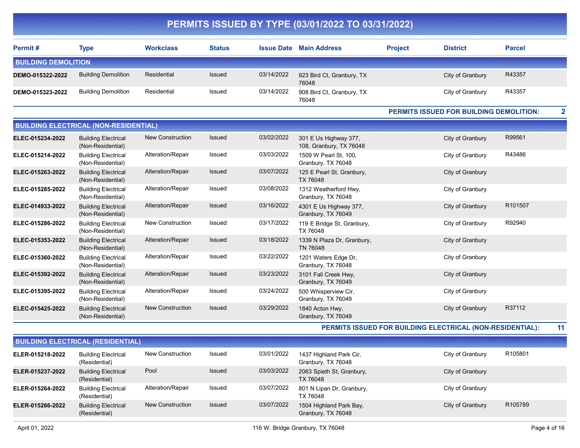| Permit#                    | Type                       | <b>Workclass</b> | <b>Status</b> | <b>Issue Date</b> | <b>Main Address</b>                | <b>Project</b> | <b>District</b>  | <b>Parcel</b> |
|----------------------------|----------------------------|------------------|---------------|-------------------|------------------------------------|----------------|------------------|---------------|
| <b>BUILDING DEMOLITION</b> |                            |                  |               |                   |                                    |                |                  |               |
| DEMO-015322-2022           | <b>Building Demolition</b> | Residential      | Issued        | 03/14/2022        | 923 Bird Ct, Granbury, TX<br>76048 |                | City of Granbury | R43357        |
| DEMO-015323-2022           | <b>Building Demolition</b> | Residential      | Issued        | 03/14/2022        | 908 Bird Ct, Granbury, TX<br>76048 |                | City of Granbury | R43357        |

#### PERMITS ISSUED FOR BUILDING DEMOLITION: 2

|                  | <b>BUILDING ELECTRICAL (NON-RESIDENTIAL)</b>    |                         |               |            |                                                  |                  |         |
|------------------|-------------------------------------------------|-------------------------|---------------|------------|--------------------------------------------------|------------------|---------|
| ELEC-015234-2022 | <b>Building Electrical</b><br>(Non-Residential) | <b>New Construction</b> | Issued        | 03/02/2022 | 301 E Us Highway 377,<br>108, Granbury, TX 76048 | City of Granbury | R99561  |
| ELEC-015214-2022 | <b>Building Electrical</b><br>(Non-Residential) | Alteration/Repair       | Issued        | 03/03/2022 | 1509 W Pearl St, 100,<br>Granbury, TX 76048      | City of Granbury | R43486  |
| ELEC-015263-2022 | <b>Building Electrical</b><br>(Non-Residential) | Alteration/Repair       | Issued        | 03/07/2022 | 125 E Pearl St, Granbury,<br>TX 76048            | City of Granbury |         |
| ELEC-015285-2022 | <b>Building Electrical</b><br>(Non-Residential) | Alteration/Repair       | Issued        | 03/08/2022 | 1312 Weatherford Hwy,<br>Granbury, TX 76048      | City of Granbury |         |
| ELEC-014933-2022 | <b>Building Electrical</b><br>(Non-Residential) | Alteration/Repair       | Issued        | 03/16/2022 | 4301 E Us Highway 377,<br>Granbury, TX 76049     | City of Granbury | R101507 |
| ELEC-015286-2022 | <b>Building Electrical</b><br>(Non-Residential) | New Construction        | Issued        | 03/17/2022 | 119 E Bridge St, Granbury,<br>TX 76048           | City of Granbury | R92940  |
| ELEC-015353-2022 | <b>Building Electrical</b><br>(Non-Residential) | Alteration/Repair       | Issued        | 03/18/2022 | 1339 N Plaza Dr, Granbury,<br>TN 76048           | City of Granbury |         |
| ELEC-015360-2022 | <b>Building Electrical</b><br>(Non-Residential) | Alteration/Repair       | Issued        | 03/22/2022 | 1201 Waters Edge Dr,<br>Granbury, TX 76048       | City of Granbury |         |
| ELEC-015392-2022 | <b>Building Electrical</b><br>(Non-Residential) | Alteration/Repair       | Issued        | 03/23/2022 | 3101 Fall Creek Hwy,<br>Granbury, TX 76049       | City of Granbury |         |
| ELEC-015395-2022 | <b>Building Electrical</b><br>(Non-Residential) | Alteration/Repair       | Issued        | 03/24/2022 | 500 Whisperview Cir,<br>Granbury, TX 76049       | City of Granbury |         |
| ELEC-015425-2022 | <b>Building Electrical</b><br>(Non-Residential) | <b>New Construction</b> | <b>Issued</b> | 03/29/2022 | 1840 Acton Hwy,<br>Granbury, TX 76049            | City of Granbury | R37112  |

PERMITS ISSUED FOR BUILDING ELECTRICAL (NON-RESIDENTIAL): 11

|                  | <b>BUILDING ELECTRICAL (RESIDENTIAL)</b>    |                         |               |            |                                               |                  |                     |  |  |  |  |  |
|------------------|---------------------------------------------|-------------------------|---------------|------------|-----------------------------------------------|------------------|---------------------|--|--|--|--|--|
| ELER-015218-2022 | <b>Building Electrical</b><br>(Residential) | New Construction        | Issued        | 03/01/2022 | 1437 Highland Park Cir,<br>Granbury, TX 76048 | City of Granbury | R <sub>105801</sub> |  |  |  |  |  |
| ELER-015237-2022 | <b>Building Electrical</b><br>(Residential) | Pool                    | <b>Issued</b> | 03/03/2022 | 2063 Spieth St, Granbury,<br>TX 76048         | City of Granbury |                     |  |  |  |  |  |
| ELER-015264-2022 | <b>Building Electrical</b><br>(Residential) | Alteration/Repair       | Issued        | 03/07/2022 | 801 N Lipan Dr, Granbury,<br>TX 76048         | City of Granbury |                     |  |  |  |  |  |
| ELER-015266-2022 | <b>Building Electrical</b><br>(Residential) | <b>New Construction</b> | <b>Issued</b> | 03/07/2022 | 1504 Highland Park Bay,<br>Granbury, TX 76048 | City of Granbury | R <sub>105789</sub> |  |  |  |  |  |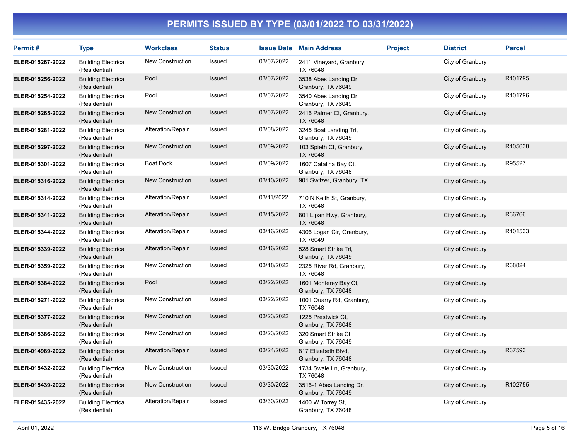| Permit#          | <b>Type</b>                                 | <b>Workclass</b>        | <b>Status</b> |            | <b>Issue Date Main Address</b>                | <b>Project</b> | <b>District</b>  | <b>Parcel</b> |
|------------------|---------------------------------------------|-------------------------|---------------|------------|-----------------------------------------------|----------------|------------------|---------------|
| ELER-015267-2022 | <b>Building Electrical</b><br>(Residential) | <b>New Construction</b> | <b>Issued</b> | 03/07/2022 | 2411 Vineyard, Granbury,<br>TX 76048          |                | City of Granbury |               |
| ELER-015256-2022 | <b>Building Electrical</b><br>(Residential) | Pool                    | Issued        | 03/07/2022 | 3538 Abes Landing Dr,<br>Granbury, TX 76049   |                | City of Granbury | R101795       |
| ELER-015254-2022 | <b>Building Electrical</b><br>(Residential) | Pool                    | Issued        | 03/07/2022 | 3540 Abes Landing Dr,<br>Granbury, TX 76049   |                | City of Granbury | R101796       |
| ELER-015265-2022 | <b>Building Electrical</b><br>(Residential) | <b>New Construction</b> | Issued        | 03/07/2022 | 2416 Palmer Ct, Granbury,<br>TX 76048         |                | City of Granbury |               |
| ELER-015281-2022 | <b>Building Electrical</b><br>(Residential) | Alteration/Repair       | Issued        | 03/08/2022 | 3245 Boat Landing Trl,<br>Granbury, TX 76049  |                | City of Granbury |               |
| ELER-015297-2022 | <b>Building Electrical</b><br>(Residential) | New Construction        | Issued        | 03/09/2022 | 103 Spieth Ct, Granbury,<br>TX 76048          |                | City of Granbury | R105638       |
| ELER-015301-2022 | <b>Building Electrical</b><br>(Residential) | <b>Boat Dock</b>        | Issued        | 03/09/2022 | 1607 Catalina Bay Ct,<br>Granbury, TX 76048   |                | City of Granbury | R95527        |
| ELER-015316-2022 | <b>Building Electrical</b><br>(Residential) | <b>New Construction</b> | <b>Issued</b> | 03/10/2022 | 901 Switzer, Granbury, TX                     |                | City of Granbury |               |
| ELER-015314-2022 | <b>Building Electrical</b><br>(Residential) | Alteration/Repair       | Issued        | 03/11/2022 | 710 N Keith St, Granbury,<br>TX 76048         |                | City of Granbury |               |
| ELER-015341-2022 | <b>Building Electrical</b><br>(Residential) | Alteration/Repair       | <b>Issued</b> | 03/15/2022 | 801 Lipan Hwy, Granbury,<br>TX 76048          |                | City of Granbury | R36766        |
| ELER-015344-2022 | <b>Building Electrical</b><br>(Residential) | Alteration/Repair       | Issued        | 03/16/2022 | 4306 Logan Cir, Granbury,<br>TX 76049         |                | City of Granbury | R101533       |
| ELER-015339-2022 | <b>Building Electrical</b><br>(Residential) | Alteration/Repair       | Issued        | 03/16/2022 | 528 Smart Strike Trl,<br>Granbury, TX 76049   |                | City of Granbury |               |
| ELER-015359-2022 | <b>Building Electrical</b><br>(Residential) | <b>New Construction</b> | Issued        | 03/18/2022 | 2325 River Rd, Granbury,<br>TX 76048          |                | City of Granbury | R38824        |
| ELER-015384-2022 | <b>Building Electrical</b><br>(Residential) | Pool                    | Issued        | 03/22/2022 | 1601 Monterey Bay Ct,<br>Granbury, TX 76048   |                | City of Granbury |               |
| ELER-015271-2022 | <b>Building Electrical</b><br>(Residential) | <b>New Construction</b> | Issued        | 03/22/2022 | 1001 Quarry Rd, Granbury,<br>TX 76048         |                | City of Granbury |               |
| ELER-015377-2022 | <b>Building Electrical</b><br>(Residential) | New Construction        | <b>Issued</b> | 03/23/2022 | 1225 Prestwick Ct,<br>Granbury, TX 76048      |                | City of Granbury |               |
| ELER-015386-2022 | <b>Building Electrical</b><br>(Residential) | <b>New Construction</b> | Issued        | 03/23/2022 | 320 Smart Strike Ct,<br>Granbury, TX 76049    |                | City of Granbury |               |
| ELER-014989-2022 | <b>Building Electrical</b><br>(Residential) | Alteration/Repair       | <b>Issued</b> | 03/24/2022 | 817 Elizabeth Blvd,<br>Granbury, TX 76048     |                | City of Granbury | R37593        |
| ELER-015432-2022 | <b>Building Electrical</b><br>(Residential) | New Construction        | Issued        | 03/30/2022 | 1734 Swale Ln, Granbury,<br>TX 76048          |                | City of Granbury |               |
| ELER-015439-2022 | <b>Building Electrical</b><br>(Residential) | New Construction        | <b>Issued</b> | 03/30/2022 | 3516-1 Abes Landing Dr,<br>Granbury, TX 76049 |                | City of Granbury | R102755       |
| ELER-015435-2022 | <b>Building Electrical</b><br>(Residential) | Alteration/Repair       | Issued        | 03/30/2022 | 1400 W Torrey St,<br>Granbury, TX 76048       |                | City of Granbury |               |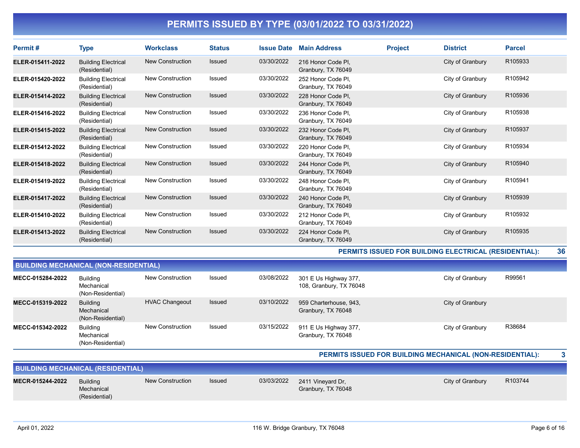| Permit#          | Type                                        | <b>Workclass</b>        | <b>Status</b> | <b>Issue Date</b> | <b>Main Address</b>                      | <b>Project</b> | <b>District</b>  | <b>Parcel</b>       |
|------------------|---------------------------------------------|-------------------------|---------------|-------------------|------------------------------------------|----------------|------------------|---------------------|
| ELER-015411-2022 | <b>Building Electrical</b><br>(Residential) | New Construction        | <b>Issued</b> | 03/30/2022        | 216 Honor Code Pl.<br>Granbury, TX 76049 |                | City of Granbury | R <sub>105933</sub> |
| ELER-015420-2022 | <b>Building Electrical</b><br>(Residential) | <b>New Construction</b> | Issued        | 03/30/2022        | 252 Honor Code Pl.<br>Granbury, TX 76049 |                | City of Granbury | R105942             |
| ELER-015414-2022 | <b>Building Electrical</b><br>(Residential) | New Construction        | <b>Issued</b> | 03/30/2022        | 228 Honor Code Pl.<br>Granbury, TX 76049 |                | City of Granbury | R105936             |
| ELER-015416-2022 | <b>Building Electrical</b><br>(Residential) | <b>New Construction</b> | Issued        | 03/30/2022        | 236 Honor Code Pl.<br>Granbury, TX 76049 |                | City of Granbury | R105938             |
| ELER-015415-2022 | <b>Building Electrical</b><br>(Residential) | <b>New Construction</b> | <b>Issued</b> | 03/30/2022        | 232 Honor Code PI,<br>Granbury, TX 76049 |                | City of Granbury | R105937             |
| ELER-015412-2022 | <b>Building Electrical</b><br>(Residential) | <b>New Construction</b> | Issued        | 03/30/2022        | 220 Honor Code PI.<br>Granbury, TX 76049 |                | City of Granbury | R105934             |
| ELER-015418-2022 | <b>Building Electrical</b><br>(Residential) | <b>New Construction</b> | <b>Issued</b> | 03/30/2022        | 244 Honor Code PI,<br>Granbury, TX 76049 |                | City of Granbury | R105940             |
| ELER-015419-2022 | <b>Building Electrical</b><br>(Residential) | <b>New Construction</b> | Issued        | 03/30/2022        | 248 Honor Code Pl.<br>Granbury, TX 76049 |                | City of Granbury | R105941             |
| ELER-015417-2022 | <b>Building Electrical</b><br>(Residential) | <b>New Construction</b> | Issued        | 03/30/2022        | 240 Honor Code PI,<br>Granbury, TX 76049 |                | City of Granbury | R105939             |
| ELER-015410-2022 | <b>Building Electrical</b><br>(Residential) | <b>New Construction</b> | Issued        | 03/30/2022        | 212 Honor Code Pl,<br>Granbury, TX 76049 |                | City of Granbury | R105932             |
| ELER-015413-2022 | <b>Building Electrical</b><br>(Residential) | <b>New Construction</b> | <b>Issued</b> | 03/30/2022        | 224 Honor Code PI,<br>Granbury, TX 76049 |                | City of Granbury | R105935             |

PERMITS ISSUED FOR BUILDING ELECTRICAL (RESIDENTIAL): 36

|                  | <b>BUILDING MECHANICAL (NON-RESIDENTIAL)</b>       |                       |        |            |                                                  |                  |        |  |  |  |
|------------------|----------------------------------------------------|-----------------------|--------|------------|--------------------------------------------------|------------------|--------|--|--|--|
| MECC-015284-2022 | Building<br>Mechanical<br>(Non-Residential)        | New Construction      | Issued | 03/08/2022 | 301 E Us Highway 377,<br>108, Granbury, TX 76048 | City of Granbury | R99561 |  |  |  |
| MECC-015319-2022 | <b>Building</b><br>Mechanical<br>(Non-Residential) | <b>HVAC Changeout</b> | Issued | 03/10/2022 | 959 Charterhouse, 943,<br>Granbury, TX 76048     | City of Granbury |        |  |  |  |
| MECC-015342-2022 | <b>Building</b><br>Mechanical<br>(Non-Residential) | New Construction      | Issued | 03/15/2022 | 911 E Us Highway 377,<br>Granbury, TX 76048      | City of Granbury | R38684 |  |  |  |

#### PERMITS ISSUED FOR BUILDING MECHANICAL (NON-RESIDENTIAL): 3

|                  | <b>BUILDING MECHANICAL (RESIDENTIAL)</b>       |                  |               |            |                                         |                  |         |
|------------------|------------------------------------------------|------------------|---------------|------------|-----------------------------------------|------------------|---------|
| MECR-015244-2022 | <b>Building</b><br>Mechanical<br>(Residential) | New Construction | <b>Issued</b> | 03/03/2022 | 2411 Vineyard Dr.<br>Granbury, TX 76048 | City of Granbury | R103744 |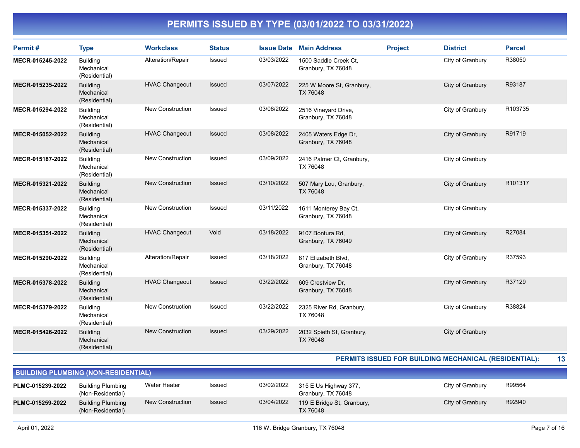| Permit#          | <b>Type</b>                                    | <b>Workclass</b>        | <b>Status</b> | <b>Issue Date</b> | <b>Main Address</b>                         | <b>Project</b> | <b>District</b>  | <b>Parcel</b> |
|------------------|------------------------------------------------|-------------------------|---------------|-------------------|---------------------------------------------|----------------|------------------|---------------|
| MECR-015245-2022 | <b>Building</b><br>Mechanical<br>(Residential) | Alteration/Repair       | Issued        | 03/03/2022        | 1500 Saddle Creek Ct,<br>Granbury, TX 76048 |                | City of Granbury | R38050        |
| MECR-015235-2022 | <b>Building</b><br>Mechanical<br>(Residential) | <b>HVAC Changeout</b>   | <b>Issued</b> | 03/07/2022        | 225 W Moore St, Granbury,<br>TX 76048       |                | City of Granbury | R93187        |
| MECR-015294-2022 | <b>Building</b><br>Mechanical<br>(Residential) | <b>New Construction</b> | Issued        | 03/08/2022        | 2516 Vineyard Drive,<br>Granbury, TX 76048  |                | City of Granbury | R103735       |
| MECR-015052-2022 | <b>Building</b><br>Mechanical<br>(Residential) | <b>HVAC Changeout</b>   | Issued        | 03/08/2022        | 2405 Waters Edge Dr,<br>Granbury, TX 76048  |                | City of Granbury | R91719        |
| MECR-015187-2022 | <b>Building</b><br>Mechanical<br>(Residential) | <b>New Construction</b> | Issued        | 03/09/2022        | 2416 Palmer Ct, Granbury,<br>TX 76048       |                | City of Granbury |               |
| MECR-015321-2022 | <b>Building</b><br>Mechanical<br>(Residential) | <b>New Construction</b> | <b>Issued</b> | 03/10/2022        | 507 Mary Lou, Granbury,<br><b>TX 76048</b>  |                | City of Granbury | R101317       |
| MECR-015337-2022 | <b>Building</b><br>Mechanical<br>(Residential) | <b>New Construction</b> | Issued        | 03/11/2022        | 1611 Monterey Bay Ct,<br>Granbury, TX 76048 |                | City of Granbury |               |
| MECR-015351-2022 | <b>Building</b><br>Mechanical<br>(Residential) | <b>HVAC Changeout</b>   | Void          | 03/18/2022        | 9107 Bontura Rd,<br>Granbury, TX 76049      |                | City of Granbury | R27084        |
| MECR-015290-2022 | <b>Building</b><br>Mechanical<br>(Residential) | Alteration/Repair       | Issued        | 03/18/2022        | 817 Elizabeth Blvd,<br>Granbury, TX 76048   |                | City of Granbury | R37593        |
| MECR-015378-2022 | <b>Building</b><br>Mechanical<br>(Residential) | <b>HVAC Changeout</b>   | <b>Issued</b> | 03/22/2022        | 609 Crestview Dr,<br>Granbury, TX 76048     |                | City of Granbury | R37129        |
| MECR-015379-2022 | <b>Building</b><br>Mechanical<br>(Residential) | <b>New Construction</b> | <b>Issued</b> | 03/22/2022        | 2325 River Rd, Granbury,<br>TX 76048        |                | City of Granbury | R38824        |
| MECR-015426-2022 | <b>Building</b><br>Mechanical<br>(Residential) | <b>New Construction</b> | <b>Issued</b> | 03/29/2022        | 2032 Spieth St, Granbury,<br>TX 76048       |                | City of Granbury |               |

#### PERMITS ISSUED FOR BUILDING MECHANICAL (RESIDENTIAL): 13

| <b>BUILDING PLUMBING (NON-RESIDENTIAL)</b> |                                               |                  |               |            |                                               |                  |        |  |  |  |
|--------------------------------------------|-----------------------------------------------|------------------|---------------|------------|-----------------------------------------------|------------------|--------|--|--|--|
| PLMC-015239-2022                           | <b>Building Plumbing</b><br>(Non-Residential) | Water Heater     | Issued        | 03/02/2022 | 315 E Us Highway 377,<br>Granbury, TX 76048   | City of Granbury | R99564 |  |  |  |
| PLMC-015259-2022                           | <b>Building Plumbing</b><br>(Non-Residential) | New Construction | <b>Issued</b> | 03/04/2022 | 119 E Bridge St, Granbury,<br><b>TX 76048</b> | City of Granbury | R92940 |  |  |  |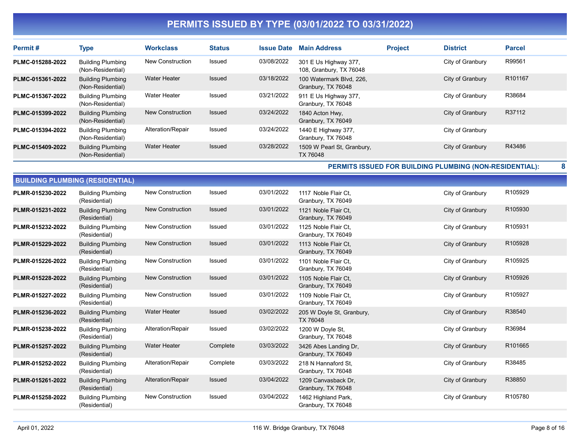| Permit#          | <b>Type</b>                                   | <b>Workclass</b>        | <b>Status</b> | <b>Issue Date</b> | <b>Main Address</b>                              | <b>Project</b> | <b>District</b>  | <b>Parcel</b>       |
|------------------|-----------------------------------------------|-------------------------|---------------|-------------------|--------------------------------------------------|----------------|------------------|---------------------|
| PLMC-015288-2022 | <b>Building Plumbing</b><br>(Non-Residential) | <b>New Construction</b> | Issued        | 03/08/2022        | 301 E Us Highway 377,<br>108, Granbury, TX 76048 |                | City of Granbury | R99561              |
| PLMC-015361-2022 | <b>Building Plumbing</b><br>(Non-Residential) | <b>Water Heater</b>     | <b>Issued</b> | 03/18/2022        | 100 Watermark Blvd. 226.<br>Granbury, TX 76048   |                | City of Granbury | R <sub>101167</sub> |
| PLMC-015367-2022 | <b>Building Plumbing</b><br>(Non-Residential) | <b>Water Heater</b>     | Issued        | 03/21/2022        | 911 E Us Highway 377,<br>Granbury, TX 76048      |                | City of Granbury | R38684              |
| PLMC-015399-2022 | <b>Building Plumbing</b><br>(Non-Residential) | New Construction        | <b>Issued</b> | 03/24/2022        | 1840 Acton Hwy,<br>Granbury, TX 76049            |                | City of Granbury | R37112              |
| PLMC-015394-2022 | <b>Building Plumbing</b><br>(Non-Residential) | Alteration/Repair       | Issued        | 03/24/2022        | 1440 E Highway 377,<br>Granbury, TX 76048        |                | City of Granbury |                     |
| PLMC-015409-2022 | <b>Building Plumbing</b><br>(Non-Residential) | Water Heater            | <b>Issued</b> | 03/28/2022        | 1509 W Pearl St, Granbury,<br>TX 76048           |                | City of Granbury | R43486              |

PERMITS ISSUED FOR BUILDING PLUMBING (NON-RESIDENTIAL): 8

|                  | <b>BUILDING PLUMBING (RESIDENTIAL)</b>    |                         |               |            |                                             |                  |         |  |  |  |  |  |
|------------------|-------------------------------------------|-------------------------|---------------|------------|---------------------------------------------|------------------|---------|--|--|--|--|--|
| PLMR-015230-2022 | <b>Building Plumbing</b><br>(Residential) | <b>New Construction</b> | <b>Issued</b> | 03/01/2022 | 1117 Noble Flair Ct.<br>Granbury, TX 76049  | City of Granbury | R105929 |  |  |  |  |  |
| PLMR-015231-2022 | <b>Building Plumbing</b><br>(Residential) | <b>New Construction</b> | <b>Issued</b> | 03/01/2022 | 1121 Noble Flair Ct.<br>Granbury, TX 76049  | City of Granbury | R105930 |  |  |  |  |  |
| PLMR-015232-2022 | <b>Building Plumbing</b><br>(Residential) | <b>New Construction</b> | Issued        | 03/01/2022 | 1125 Noble Flair Ct.<br>Granbury, TX 76049  | City of Granbury | R105931 |  |  |  |  |  |
| PLMR-015229-2022 | <b>Building Plumbing</b><br>(Residential) | <b>New Construction</b> | Issued        | 03/01/2022 | 1113 Noble Flair Ct.<br>Granbury, TX 76049  | City of Granbury | R105928 |  |  |  |  |  |
| PLMR-015226-2022 | <b>Building Plumbing</b><br>(Residential) | <b>New Construction</b> | Issued        | 03/01/2022 | 1101 Noble Flair Ct.<br>Granbury, TX 76049  | City of Granbury | R105925 |  |  |  |  |  |
| PLMR-015228-2022 | <b>Building Plumbing</b><br>(Residential) | New Construction        | Issued        | 03/01/2022 | 1105 Noble Flair Ct.<br>Granbury, TX 76049  | City of Granbury | R105926 |  |  |  |  |  |
| PLMR-015227-2022 | <b>Building Plumbing</b><br>(Residential) | <b>New Construction</b> | Issued        | 03/01/2022 | 1109 Noble Flair Ct.<br>Granbury, TX 76049  | City of Granbury | R105927 |  |  |  |  |  |
| PLMR-015236-2022 | <b>Building Plumbing</b><br>(Residential) | <b>Water Heater</b>     | <b>Issued</b> | 03/02/2022 | 205 W Doyle St, Granbury,<br>TX 76048       | City of Granbury | R38540  |  |  |  |  |  |
| PLMR-015238-2022 | <b>Building Plumbing</b><br>(Residential) | Alteration/Repair       | Issued        | 03/02/2022 | 1200 W Doyle St,<br>Granbury, TX 76048      | City of Granbury | R36984  |  |  |  |  |  |
| PLMR-015257-2022 | <b>Building Plumbing</b><br>(Residential) | <b>Water Heater</b>     | Complete      | 03/03/2022 | 3426 Abes Landing Dr.<br>Granbury, TX 76049 | City of Granbury | R101665 |  |  |  |  |  |
| PLMR-015252-2022 | <b>Building Plumbing</b><br>(Residential) | Alteration/Repair       | Complete      | 03/03/2022 | 218 N Hannaford St.<br>Granbury, TX 76048   | City of Granbury | R38485  |  |  |  |  |  |
| PLMR-015261-2022 | <b>Building Plumbing</b><br>(Residential) | Alteration/Repair       | Issued        | 03/04/2022 | 1209 Canvasback Dr.<br>Granbury, TX 76048   | City of Granbury | R38850  |  |  |  |  |  |
| PLMR-015258-2022 | <b>Building Plumbing</b><br>(Residential) | New Construction        | Issued        | 03/04/2022 | 1462 Highland Park,<br>Granbury, TX 76048   | City of Granbury | R105780 |  |  |  |  |  |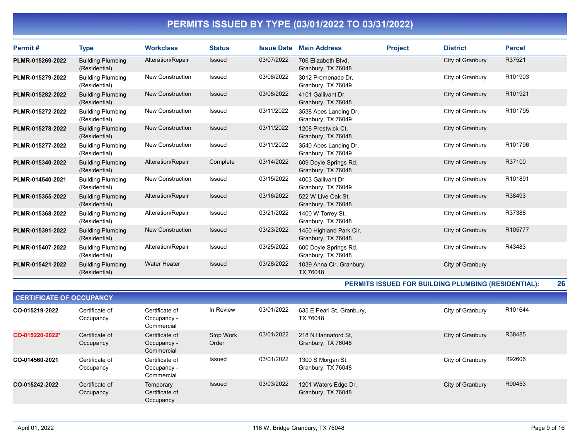| Permit#          | <b>Type</b>                               | <b>Workclass</b>        | <b>Status</b> | <b>Issue Date</b> | <b>Main Address</b>                           | <b>Project</b> | <b>District</b>  | <b>Parcel</b> |
|------------------|-------------------------------------------|-------------------------|---------------|-------------------|-----------------------------------------------|----------------|------------------|---------------|
| PLMR-015269-2022 | <b>Building Plumbing</b><br>(Residential) | Alteration/Repair       | Issued        | 03/07/2022        | 706 Elizabeth Blvd,<br>Granbury, TX 76048     |                | City of Granbury | R37521        |
| PLMR-015279-2022 | <b>Building Plumbing</b><br>(Residential) | New Construction        | <b>Issued</b> | 03/08/2022        | 3012 Promenade Dr.<br>Granbury, TX 76049      |                | City of Granbury | R101903       |
| PLMR-015282-2022 | <b>Building Plumbing</b><br>(Residential) | <b>New Construction</b> | <b>Issued</b> | 03/08/2022        | 4101 Gallivant Dr.<br>Granbury, TX 76048      |                | City of Granbury | R101921       |
| PLMR-015272-2022 | <b>Building Plumbing</b><br>(Residential) | <b>New Construction</b> | Issued        | 03/11/2022        | 3538 Abes Landing Dr.<br>Granbury, TX 76049   |                | City of Granbury | R101795       |
| PLMR-015278-2022 | <b>Building Plumbing</b><br>(Residential) | <b>New Construction</b> | <b>Issued</b> | 03/11/2022        | 1208 Prestwick Ct.<br>Granbury, TX 76048      |                | City of Granbury |               |
| PLMR-015277-2022 | <b>Building Plumbing</b><br>(Residential) | <b>New Construction</b> | Issued        | 03/11/2022        | 3540 Abes Landing Dr.<br>Granbury, TX 76049   |                | City of Granbury | R101796       |
| PLMR-015340-2022 | <b>Building Plumbing</b><br>(Residential) | Alteration/Repair       | Complete      | 03/14/2022        | 609 Doyle Springs Rd,<br>Granbury, TX 76048   |                | City of Granbury | R37100        |
| PLMR-014540-2021 | <b>Building Plumbing</b><br>(Residential) | <b>New Construction</b> | <b>Issued</b> | 03/15/2022        | 4003 Gallivant Dr.<br>Granbury, TX 76049      |                | City of Granbury | R101891       |
| PLMR-015355-2022 | <b>Building Plumbing</b><br>(Residential) | Alteration/Repair       | Issued        | 03/16/2022        | 522 W Live Oak St.<br>Granbury, TX 76048      |                | City of Granbury | R38493        |
| PLMR-015368-2022 | <b>Building Plumbing</b><br>(Residential) | Alteration/Repair       | Issued        | 03/21/2022        | 1400 W Torrey St.<br>Granbury, TX 76048       |                | City of Granbury | R37388        |
| PLMR-015391-2022 | <b>Building Plumbing</b><br>(Residential) | <b>New Construction</b> | <b>Issued</b> | 03/23/2022        | 1450 Highland Park Cir.<br>Granbury, TX 76048 |                | City of Granbury | R105777       |
| PLMR-015407-2022 | <b>Building Plumbing</b><br>(Residential) | Alteration/Repair       | Issued        | 03/25/2022        | 600 Doyle Springs Rd,<br>Granbury, TX 76048   |                | City of Granbury | R43483        |
| PLMR-015421-2022 | <b>Building Plumbing</b><br>(Residential) | <b>Water Heater</b>     | <b>Issued</b> | 03/28/2022        | 1039 Anna Cir, Granbury,<br>TX 76048          |                | City of Granbury |               |

#### PERMITS ISSUED FOR BUILDING PLUMBING (RESIDENTIAL): 26

| <b>CERTIFICATE OF OCCUPANCY</b> |                             |                                             |                    |            |                                            |                  |         |  |  |  |  |
|---------------------------------|-----------------------------|---------------------------------------------|--------------------|------------|--------------------------------------------|------------------|---------|--|--|--|--|
| CO-015219-2022                  | Certificate of<br>Occupancy | Certificate of<br>Occupancy -<br>Commercial | In Review          | 03/01/2022 | 635 E Pearl St, Granbury,<br>TX 76048      | City of Granbury | R101644 |  |  |  |  |
| CO-015220-2022*                 | Certificate of<br>Occupancy | Certificate of<br>Occupancy -<br>Commercial | Stop Work<br>Order | 03/01/2022 | 218 N Hannaford St.<br>Granbury, TX 76048  | City of Granbury | R38485  |  |  |  |  |
| CO-014560-2021                  | Certificate of<br>Occupancy | Certificate of<br>Occupancy -<br>Commercial | Issued             | 03/01/2022 | 1300 S Morgan St,<br>Granbury, TX 76048    | City of Granbury | R92606  |  |  |  |  |
| CO-015242-2022                  | Certificate of<br>Occupancy | Temporary<br>Certificate of<br>Occupancy    | Issued             | 03/03/2022 | 1201 Waters Edge Dr,<br>Granbury, TX 76048 | City of Granbury | R90453  |  |  |  |  |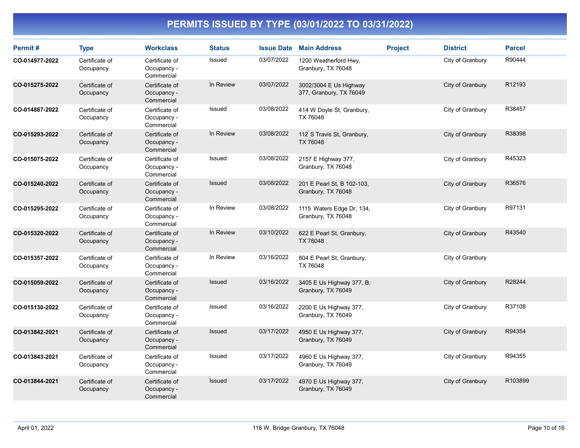| Permit#        | <b>Type</b>                 | <b>Workclass</b>                            | <b>Status</b> | <b>Issue Date</b> | <b>Main Address</b>                               | <b>Project</b> | <b>District</b>  | <b>Parcel</b> |
|----------------|-----------------------------|---------------------------------------------|---------------|-------------------|---------------------------------------------------|----------------|------------------|---------------|
| CO-014977-2022 | Certificate of<br>Occupancy | Certificate of<br>Occupancy -<br>Commercial | Issued        | 03/07/2022        | 1200 Weatherford Hwy,<br>Granbury, TX 76048       |                | City of Granbury | R90444        |
| CO-015275-2022 | Certificate of<br>Occupancy | Certificate of<br>Occupancy -<br>Commercial | In Review     | 03/07/2022        | 3002/3004 E Us Highway<br>377, Granbury, TX 76049 |                | City of Granbury | R12193        |
| CO-014887-2022 | Certificate of<br>Occupancy | Certificate of<br>Occupancy -<br>Commercial | Issued        | 03/08/2022        | 414 W Doyle St, Granbury,<br>TX 76048             |                | City of Granbury | R38457        |
| CO-015293-2022 | Certificate of<br>Occupancy | Certificate of<br>Occupancy -<br>Commercial | In Review     | 03/08/2022        | 112 S Travis St, Granbury,<br>TX 76048            |                | City of Granbury | R38398        |
| CO-015075-2022 | Certificate of<br>Occupancy | Certificate of<br>Occupancy -<br>Commercial | <b>Issued</b> | 03/08/2022        | 2157 E Highway 377,<br>Granbury, TX 76048         |                | City of Granbury | R45323        |
| CO-015240-2022 | Certificate of<br>Occupancy | Certificate of<br>Occupancy -<br>Commercial | <b>Issued</b> | 03/08/2022        | 201 E Pearl St, B 102-103,<br>Granbury, TX 76048  |                | City of Granbury | R36576        |
| CO-015295-2022 | Certificate of<br>Occupancy | Certificate of<br>Occupancy -<br>Commercial | In Review     | 03/08/2022        | 1115 Waters Edge Dr, 134,<br>Granbury, TX 76048   |                | City of Granbury | R97131        |
| CO-015320-2022 | Certificate of<br>Occupancy | Certificate of<br>Occupancy -<br>Commercial | In Review     | 03/10/2022        | 622 E Pearl St, Granbury,<br>TX 76048             |                | City of Granbury | R43540        |
| CO-015357-2022 | Certificate of<br>Occupancy | Certificate of<br>Occupancy -<br>Commercial | In Review     | 03/16/2022        | 804 E Pearl St, Granbury,<br>TX 76048             |                | City of Granbury |               |
| CO-015059-2022 | Certificate of<br>Occupancy | Certificate of<br>Occupancy -<br>Commercial | Issued        | 03/16/2022        | 3405 E Us Highway 377, B,<br>Granbury, TX 76049   |                | City of Granbury | R28244        |
| CO-015130-2022 | Certificate of<br>Occupancy | Certificate of<br>Occupancy -<br>Commercial | Issued        | 03/16/2022        | 2200 E Us Highway 377,<br>Granbury, TX 76049      |                | City of Granbury | R37108        |
| CO-013842-2021 | Certificate of<br>Occupancy | Certificate of<br>Occupancy -<br>Commercial | Issued        | 03/17/2022        | 4950 E Us Highway 377,<br>Granbury, TX 76049      |                | City of Granbury | R94354        |
| CO-013843-2021 | Certificate of<br>Occupancy | Certificate of<br>Occupancy -<br>Commercial | Issued        | 03/17/2022        | 4960 E Us Highway 377,<br>Granbury, TX 76049      |                | City of Granbury | R94355        |
| CO-013844-2021 | Certificate of<br>Occupancy | Certificate of<br>Occupancy -<br>Commercial | Issued        | 03/17/2022        | 4970 E Us Highway 377,<br>Granbury, TX 76049      |                | City of Granbury | R103899       |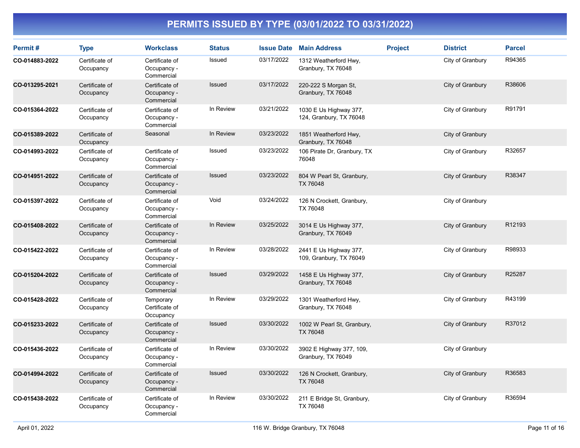| Permit#        | <b>Type</b>                 | <b>Workclass</b>                            | <b>Status</b> | <b>Issue Date</b> | <b>Main Address</b>                               | <b>Project</b> | <b>District</b>  | <b>Parcel</b> |
|----------------|-----------------------------|---------------------------------------------|---------------|-------------------|---------------------------------------------------|----------------|------------------|---------------|
| CO-014883-2022 | Certificate of<br>Occupancy | Certificate of<br>Occupancy -<br>Commercial | Issued        | 03/17/2022        | 1312 Weatherford Hwy,<br>Granbury, TX 76048       |                | City of Granbury | R94365        |
| CO-013295-2021 | Certificate of<br>Occupancy | Certificate of<br>Occupancy -<br>Commercial | <b>Issued</b> | 03/17/2022        | 220-222 S Morgan St,<br>Granbury, TX 76048        |                | City of Granbury | R38606        |
| CO-015364-2022 | Certificate of<br>Occupancy | Certificate of<br>Occupancy -<br>Commercial | In Review     | 03/21/2022        | 1030 E Us Highway 377,<br>124, Granbury, TX 76048 |                | City of Granbury | R91791        |
| CO-015389-2022 | Certificate of<br>Occupancy | Seasonal                                    | In Review     | 03/23/2022        | 1851 Weatherford Hwy,<br>Granbury, TX 76048       |                | City of Granbury |               |
| CO-014993-2022 | Certificate of<br>Occupancy | Certificate of<br>Occupancy -<br>Commercial | Issued        | 03/23/2022        | 106 Pirate Dr, Granbury, TX<br>76048              |                | City of Granbury | R32657        |
| CO-014951-2022 | Certificate of<br>Occupancy | Certificate of<br>Occupancy -<br>Commercial | Issued        | 03/23/2022        | 804 W Pearl St, Granbury,<br>TX 76048             |                | City of Granbury | R38347        |
| CO-015397-2022 | Certificate of<br>Occupancy | Certificate of<br>Occupancy -<br>Commercial | Void          | 03/24/2022        | 126 N Crockett, Granbury,<br>TX 76048             |                | City of Granbury |               |
| CO-015408-2022 | Certificate of<br>Occupancy | Certificate of<br>Occupancy -<br>Commercial | In Review     | 03/25/2022        | 3014 E Us Highway 377,<br>Granbury, TX 76049      |                | City of Granbury | R12193        |
| CO-015422-2022 | Certificate of<br>Occupancy | Certificate of<br>Occupancy -<br>Commercial | In Review     | 03/28/2022        | 2441 E Us Highway 377,<br>109, Granbury, TX 76049 |                | City of Granbury | R98933        |
| CO-015204-2022 | Certificate of<br>Occupancy | Certificate of<br>Occupancy -<br>Commercial | <b>Issued</b> | 03/29/2022        | 1458 E Us Highway 377,<br>Granbury, TX 76048      |                | City of Granbury | R25287        |
| CO-015428-2022 | Certificate of<br>Occupancy | Temporary<br>Certificate of<br>Occupancy    | In Review     | 03/29/2022        | 1301 Weatherford Hwy,<br>Granbury, TX 76048       |                | City of Granbury | R43199        |
| CO-015233-2022 | Certificate of<br>Occupancy | Certificate of<br>Occupancy -<br>Commercial | Issued        | 03/30/2022        | 1002 W Pearl St, Granbury,<br>TX 76048            |                | City of Granbury | R37012        |
| CO-015436-2022 | Certificate of<br>Occupancy | Certificate of<br>Occupancy -<br>Commercial | In Review     | 03/30/2022        | 3902 E Highway 377, 109,<br>Granbury, TX 76049    |                | City of Granbury |               |
| CO-014994-2022 | Certificate of<br>Occupancy | Certificate of<br>Occupancy -<br>Commercial | <b>Issued</b> | 03/30/2022        | 126 N Crockett, Granbury,<br>TX 76048             |                | City of Granbury | R36583        |
| CO-015438-2022 | Certificate of<br>Occupancy | Certificate of<br>Occupancy -<br>Commercial | In Review     | 03/30/2022        | 211 E Bridge St, Granbury,<br>TX 76048            |                | City of Granbury | R36594        |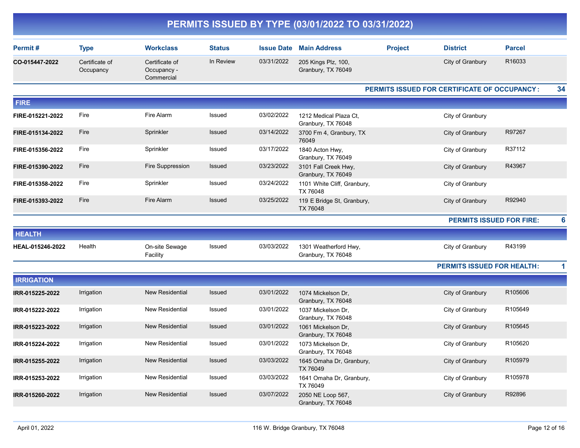|                   |                             |                                             |               |                   | PERMITS ISSUED BY TYPE (03/01/2022 TO 03/31/2022) |                |                                                     |               |
|-------------------|-----------------------------|---------------------------------------------|---------------|-------------------|---------------------------------------------------|----------------|-----------------------------------------------------|---------------|
| Permit#           | <b>Type</b>                 | <b>Workclass</b>                            | <b>Status</b> | <b>Issue Date</b> | <b>Main Address</b>                               | <b>Project</b> | <b>District</b>                                     | <b>Parcel</b> |
| CO-015447-2022    | Certificate of<br>Occupancy | Certificate of<br>Occupancy -<br>Commercial | In Review     | 03/31/2022        | 205 Kings Plz, 100,<br>Granbury, TX 76049         |                | City of Granbury                                    | R16033        |
|                   |                             |                                             |               |                   |                                                   |                | <b>PERMITS ISSUED FOR CERTIFICATE OF OCCUPANCY:</b> | 34            |
| <b>FIRE</b>       |                             |                                             |               |                   |                                                   |                |                                                     |               |
| FIRE-015221-2022  | Fire                        | Fire Alarm                                  | Issued        | 03/02/2022        | 1212 Medical Plaza Ct,<br>Granbury, TX 76048      |                | City of Granbury                                    |               |
| FIRE-015134-2022  | Fire                        | Sprinkler                                   | <b>Issued</b> | 03/14/2022        | 3700 Fm 4, Granbury, TX<br>76049                  |                | City of Granbury                                    | R97267        |
| FIRE-015356-2022  | Fire                        | Sprinkler                                   | Issued        | 03/17/2022        | 1840 Acton Hwy,<br>Granbury, TX 76049             |                | City of Granbury                                    | R37112        |
| FIRE-015390-2022  | Fire                        | Fire Suppression                            | <b>Issued</b> | 03/23/2022        | 3101 Fall Creek Hwy,<br>Granbury, TX 76049        |                | City of Granbury                                    | R43967        |
| FIRE-015358-2022  | Fire                        | Sprinkler                                   | Issued        | 03/24/2022        | 1101 White Cliff, Granbury,<br>TX 76048           |                | City of Granbury                                    |               |
| FIRE-015393-2022  | Fire                        | Fire Alarm                                  | <b>Issued</b> | 03/25/2022        | 119 E Bridge St, Granbury,<br>TX 76048            |                | City of Granbury                                    | R92940        |
|                   |                             |                                             |               |                   |                                                   |                | <b>PERMITS ISSUED FOR FIRE:</b>                     |               |
| <b>HEALTH</b>     |                             |                                             |               |                   |                                                   |                |                                                     |               |
| HEAL-015246-2022  | Health                      | On-site Sewage<br>Facility                  | Issued        | 03/03/2022        | 1301 Weatherford Hwy,<br>Granbury, TX 76048       |                | City of Granbury                                    | R43199        |
|                   |                             |                                             |               |                   |                                                   |                | <b>PERMITS ISSUED FOR HEALTH:</b>                   |               |
| <b>IRRIGATION</b> |                             |                                             |               |                   |                                                   |                |                                                     |               |
| IRR-015225-2022   | Irrigation                  | <b>New Residential</b>                      | Issued        | 03/01/2022        | 1074 Mickelson Dr,<br>Granbury, TX 76048          |                | City of Granbury                                    | R105606       |
| IRR-015222-2022   | Irrigation                  | New Residential                             | Issued        | 03/01/2022        | 1037 Mickelson Dr,<br>Granbury, TX 76048          |                | City of Granbury                                    | R105649       |
| IRR-015223-2022   | Irrigation                  | <b>New Residential</b>                      | <b>Issued</b> | 03/01/2022        | 1061 Mickelson Dr,<br>Granbury, TX 76048          |                | City of Granbury                                    | R105645       |
| IRR-015224-2022   | Irrigation                  | New Residential                             | Issued        | 03/01/2022        | 1073 Mickelson Dr.<br>Granbury, TX 76048          |                | City of Granbury                                    | R105620       |
| IRR-015255-2022   | Irrigation                  | <b>New Residential</b>                      | Issued        | 03/03/2022        | 1645 Omaha Dr, Granbury,<br>TX 76049              |                | City of Granbury                                    | R105979       |
| IRR-015253-2022   | Irrigation                  | New Residential                             | Issued        | 03/03/2022        | 1641 Omaha Dr, Granbury,<br>TX 76049              |                | City of Granbury                                    | R105978       |
| IRR-015260-2022   | Irrigation                  | New Residential                             | Issued        | 03/07/2022        | 2050 NE Loop 567,<br>Granbury, TX 76048           |                | City of Granbury                                    | R92896        |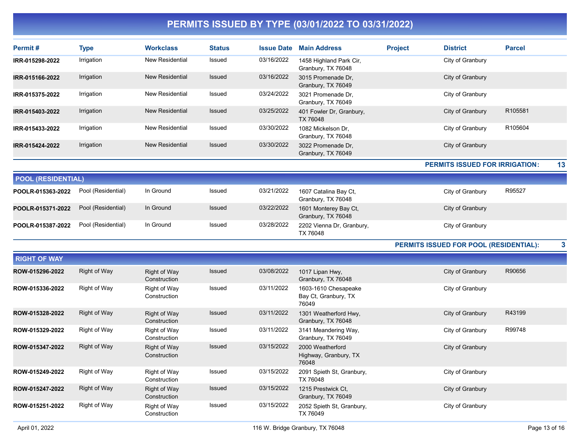| Permit#                   | <b>Type</b>         | <b>Workclass</b>             | <b>Status</b> | <b>Issue Date</b> | <b>Main Address</b>                           | <b>Project</b> | <b>District</b>                        | <b>Parcel</b> |    |
|---------------------------|---------------------|------------------------------|---------------|-------------------|-----------------------------------------------|----------------|----------------------------------------|---------------|----|
| IRR-015298-2022           | Irrigation          | <b>New Residential</b>       | Issued        | 03/16/2022        | 1458 Highland Park Cir,<br>Granbury, TX 76048 |                | City of Granbury                       |               |    |
| IRR-015166-2022           | Irrigation          | <b>New Residential</b>       | <b>Issued</b> | 03/16/2022        | 3015 Promenade Dr,<br>Granbury, TX 76049      |                | City of Granbury                       |               |    |
| IRR-015375-2022           | Irrigation          | New Residential              | Issued        | 03/24/2022        | 3021 Promenade Dr.<br>Granbury, TX 76049      |                | City of Granbury                       |               |    |
| IRR-015403-2022           | Irrigation          | <b>New Residential</b>       | Issued        | 03/25/2022        | 401 Fowler Dr, Granbury,<br>TX 76048          |                | City of Granbury                       | R105581       |    |
| IRR-015433-2022           | Irrigation          | <b>New Residential</b>       | Issued        | 03/30/2022        | 1082 Mickelson Dr.<br>Granbury, TX 76048      |                | City of Granbury                       | R105604       |    |
| IRR-015424-2022           | Irrigation          | <b>New Residential</b>       | <b>Issued</b> | 03/30/2022        | 3022 Promenade Dr,<br>Granbury, TX 76049      |                | City of Granbury                       |               |    |
|                           |                     |                              |               |                   |                                               |                | <b>PERMITS ISSUED FOR IRRIGATION:</b>  |               | 13 |
| <b>POOL (RESIDENTIAL)</b> |                     |                              |               |                   |                                               |                |                                        |               |    |
| POOLR-015363-2022         | Pool (Residential)  | In Ground                    | Issued        | 03/21/2022        | 1607 Catalina Bay Ct,<br>Granbury, TX 76048   |                | City of Granbury                       | R95527        |    |
| POOLR-015371-2022         | Pool (Residential)  | In Ground                    | Issued        | 03/22/2022        | 1601 Monterey Bay Ct,<br>Granbury, TX 76048   |                | City of Granbury                       |               |    |
| POOLR-015387-2022         | Pool (Residential)  | In Ground                    | Issued        | 03/28/2022        | 2202 Vienna Dr, Granbury,<br>TX 76048         |                | City of Granbury                       |               |    |
|                           |                     |                              |               |                   |                                               |                | PERMITS ISSUED FOR POOL (RESIDENTIAL): |               | 3  |
| <b>RIGHT OF WAY</b>       |                     |                              |               |                   |                                               |                |                                        |               |    |
| ROW-015296-2022           | <b>Right of Way</b> | Right of Way<br>Construction | Issued        | 03/08/2022        | 1017 Lipan Hwy,<br>Granbury, TX 76048         |                | City of Granbury                       | R90656        |    |
| ROW-015336-2022           | Right of Way        | Right of Way<br>Construction | Issued        | 03/11/2022        | 1603-1610 Chesapeake<br>Bay Ct, Granbury, TX  |                | City of Granbury                       |               |    |

|                 |              | Construction                 |        |            | Bay Ct, Granbury, TX<br>76049                      |                  |        |
|-----------------|--------------|------------------------------|--------|------------|----------------------------------------------------|------------------|--------|
| ROW-015328-2022 | Right of Way | Right of Way<br>Construction | Issued | 03/11/2022 | 1301 Weatherford Hwy,<br>Granbury, TX 76048        | City of Granbury | R43199 |
| ROW-015329-2022 | Right of Way | Right of Way<br>Construction | Issued | 03/11/2022 | 3141 Meandering Way,<br>Granbury, TX 76049         | City of Granbury | R99748 |
| ROW-015347-2022 | Right of Way | Right of Way<br>Construction | Issued | 03/15/2022 | 2000 Weatherford<br>Highway, Granbury, TX<br>76048 | City of Granbury |        |
| ROW-015249-2022 | Right of Way | Right of Way<br>Construction | Issued | 03/15/2022 | 2091 Spieth St. Granbury,<br>TX 76048              | City of Granbury |        |
| ROW-015247-2022 | Right of Way | Right of Way<br>Construction | Issued | 03/15/2022 | 1215 Prestwick Ct.<br>Granbury, TX 76049           | City of Granbury |        |
| ROW-015251-2022 | Right of Way | Right of Way<br>Construction | Issued | 03/15/2022 | 2052 Spieth St, Granbury,<br>TX 76049              | City of Granbury |        |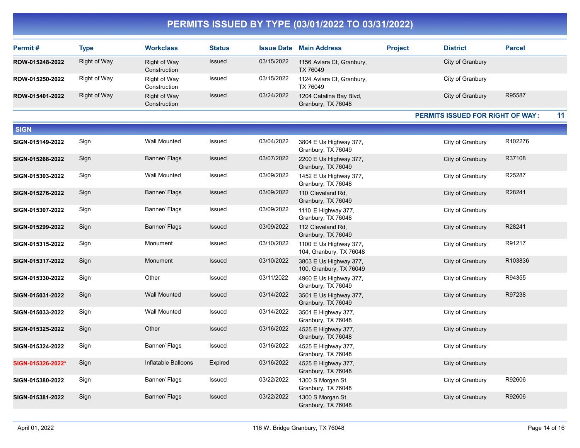| Permit#         | Type         | <b>Workclass</b>             | <b>Status</b> | <b>Issue Date</b> | <b>Main Address</b>                           | <b>Project</b> | <b>District</b>  | <b>Parcel</b> |
|-----------------|--------------|------------------------------|---------------|-------------------|-----------------------------------------------|----------------|------------------|---------------|
| ROW-015248-2022 | Right of Way | Right of Way<br>Construction | Issued        | 03/15/2022        | 1156 Aviara Ct, Granbury,<br>TX 76049         |                | City of Granbury |               |
| ROW-015250-2022 | Right of Way | Right of Way<br>Construction | Issued        | 03/15/2022        | 1124 Aviara Ct, Granbury,<br>TX 76049         |                | City of Granbury |               |
| ROW-015401-2022 | Right of Way | Right of Way<br>Construction | Issued        | 03/24/2022        | 1204 Catalina Bay Blvd,<br>Granbury, TX 76048 |                | City of Granbury | R95587        |

PERMITS ISSUED FOR RIGHT OF WAY : 11

| <b>SIGN</b>       |      |                     |         |            |                                                   |                  |         |
|-------------------|------|---------------------|---------|------------|---------------------------------------------------|------------------|---------|
| SIGN-015149-2022  | Sign | Wall Mounted        | Issued  | 03/04/2022 | 3804 E Us Highway 377,<br>Granbury, TX 76049      | City of Granbury | R102276 |
| SIGN-015268-2022  | Sign | Banner/ Flags       | Issued  | 03/07/2022 | 2200 E Us Highway 377,<br>Granbury, TX 76049      | City of Granbury | R37108  |
| SIGN-015303-2022  | Sign | Wall Mounted        | Issued  | 03/09/2022 | 1452 E Us Highway 377,<br>Granbury, TX 76048      | City of Granbury | R25287  |
| SIGN-015276-2022  | Sign | Banner/ Flags       | Issued  | 03/09/2022 | 110 Cleveland Rd.<br>Granbury, TX 76049           | City of Granbury | R28241  |
| SIGN-015307-2022  | Sign | Banner/ Flags       | Issued  | 03/09/2022 | 1110 E Highway 377,<br>Granbury, TX 76048         | City of Granbury |         |
| SIGN-015299-2022  | Sign | Banner/ Flags       | Issued  | 03/09/2022 | 112 Cleveland Rd,<br>Granbury, TX 76049           | City of Granbury | R28241  |
| SIGN-015315-2022  | Sign | Monument            | Issued  | 03/10/2022 | 1100 E Us Highway 377,<br>104, Granbury, TX 76048 | City of Granbury | R91217  |
| SIGN-015317-2022  | Sign | Monument            | Issued  | 03/10/2022 | 3803 E Us Highway 377,<br>100, Granbury, TX 76049 | City of Granbury | R103836 |
| SIGN-015330-2022  | Sign | Other               | Issued  | 03/11/2022 | 4960 E Us Highway 377,<br>Granbury, TX 76049      | City of Granbury | R94355  |
| SIGN-015031-2022  | Sign | <b>Wall Mounted</b> | Issued  | 03/14/2022 | 3501 E Us Highway 377,<br>Granbury, TX 76049      | City of Granbury | R97238  |
| SIGN-015033-2022  | Sign | Wall Mounted        | Issued  | 03/14/2022 | 3501 E Highway 377,<br>Granbury, TX 76048         | City of Granbury |         |
| SIGN-015325-2022  | Sign | Other               | Issued  | 03/16/2022 | 4525 E Highway 377,<br>Granbury, TX 76048         | City of Granbury |         |
| SIGN-015324-2022  | Sign | Banner/ Flags       | Issued  | 03/16/2022 | 4525 E Highway 377,<br>Granbury, TX 76048         | City of Granbury |         |
| SIGN-015326-2022* | Sign | Inflatable Balloons | Expired | 03/16/2022 | 4525 E Highway 377,<br>Granbury, TX 76048         | City of Granbury |         |
| SIGN-015380-2022  | Sign | Banner/ Flags       | Issued  | 03/22/2022 | 1300 S Morgan St,<br>Granbury, TX 76048           | City of Granbury | R92606  |
| SIGN-015381-2022  | Sign | Banner/ Flags       | Issued  | 03/22/2022 | 1300 S Morgan St,<br>Granbury, TX 76048           | City of Granbury | R92606  |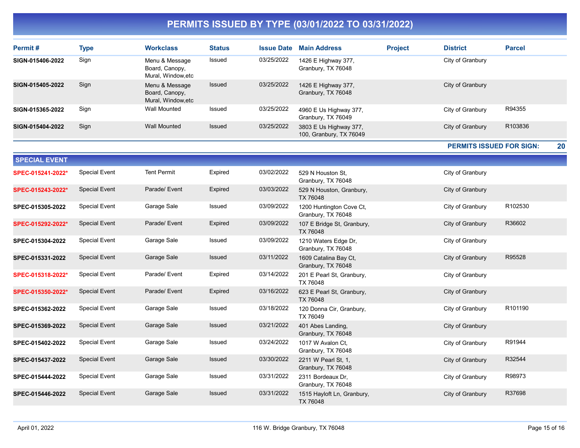| Permit#              | <b>Type</b>          | <b>Workclass</b>                                       | <b>Status</b> | <b>Issue Date</b> | <b>Main Address</b>                               | <b>Project</b> | <b>District</b>                 | <b>Parcel</b>       |
|----------------------|----------------------|--------------------------------------------------------|---------------|-------------------|---------------------------------------------------|----------------|---------------------------------|---------------------|
| SIGN-015406-2022     | Sign                 | Menu & Message<br>Board, Canopy,<br>Mural, Window, etc | Issued        | 03/25/2022        | 1426 E Highway 377,<br>Granbury, TX 76048         |                | City of Granbury                |                     |
| SIGN-015405-2022     | Sign                 | Menu & Message<br>Board, Canopy,<br>Mural, Window, etc | Issued        | 03/25/2022        | 1426 E Highway 377,<br>Granbury, TX 76048         |                | City of Granbury                |                     |
| SIGN-015365-2022     | Sign                 | <b>Wall Mounted</b>                                    | Issued        | 03/25/2022        | 4960 E Us Highway 377,<br>Granbury, TX 76049      |                | City of Granbury                | R94355              |
| SIGN-015404-2022     | Sign                 | <b>Wall Mounted</b>                                    | Issued        | 03/25/2022        | 3803 E Us Highway 377,<br>100, Granbury, TX 76049 |                | City of Granbury                | R103836             |
|                      |                      |                                                        |               |                   |                                                   |                | <b>PERMITS ISSUED FOR SIGN:</b> | 20                  |
| <b>SPECIAL EVENT</b> |                      |                                                        |               |                   |                                                   |                |                                 |                     |
| SPEC-015241-2022*    | <b>Special Event</b> | <b>Tent Permit</b>                                     | Expired       | 03/02/2022        | 529 N Houston St.<br>Granbury, TX 76048           |                | City of Granbury                |                     |
| SPEC-015243-2022*    | <b>Special Event</b> | Parade/ Event                                          | Expired       | 03/03/2022        | 529 N Houston, Granbury,<br>TX 76048              |                | City of Granbury                |                     |
| SPEC-015305-2022     | <b>Special Event</b> | Garage Sale                                            | Issued        | 03/09/2022        | 1200 Huntington Cove Ct,<br>Granbury, TX 76048    |                | City of Granbury                | R102530             |
| SPEC-015292-2022*    | <b>Special Event</b> | Parade/ Event                                          | Expired       | 03/09/2022        | 107 E Bridge St, Granbury,<br>TX 76048            |                | City of Granbury                | R36602              |
| SPEC-015304-2022     | <b>Special Event</b> | Garage Sale                                            | Issued        | 03/09/2022        | 1210 Waters Edge Dr,<br>Granbury, TX 76048        |                | City of Granbury                |                     |
| SPEC-015331-2022     | <b>Special Event</b> | Garage Sale                                            | Issued        | 03/11/2022        | 1609 Catalina Bay Ct,<br>Granbury, TX 76048       |                | City of Granbury                | R95528              |
| SPEC-015318-2022*    | <b>Special Event</b> | Parade/ Event                                          | Expired       | 03/14/2022        | 201 E Pearl St, Granbury,<br>TX 76048             |                | City of Granbury                |                     |
| SPEC-015350-2022*    | <b>Special Event</b> | Parade/ Event                                          | Expired       | 03/16/2022        | 623 E Pearl St, Granbury,<br>TX 76048             |                | City of Granbury                |                     |
| SPEC-015362-2022     | <b>Special Event</b> | Garage Sale                                            | Issued        | 03/18/2022        | 120 Donna Cir, Granbury,<br>TX 76049              |                | City of Granbury                | R <sub>101190</sub> |
| SPEC-015369-2022     | <b>Special Event</b> | Garage Sale                                            | Issued        | 03/21/2022        | 401 Abes Landing,<br>Granbury, TX 76048           |                | City of Granbury                |                     |
| SPEC-015402-2022     | <b>Special Event</b> | Garage Sale                                            | Issued        | 03/24/2022        | 1017 W Avalon Ct,<br>Granbury, TX 76048           |                | City of Granbury                | R91944              |
| SPEC-015437-2022     | <b>Special Event</b> | Garage Sale                                            | <b>Issued</b> | 03/30/2022        | 2211 W Pearl St, 1,<br>Granbury, TX 76048         |                | City of Granbury                | R32544              |
| SPEC-015444-2022     | <b>Special Event</b> | Garage Sale                                            | Issued        | 03/31/2022        | 2311 Bordeaux Dr,<br>Granbury, TX 76048           |                | City of Granbury                | R98973              |
| SPEC-015446-2022     | <b>Special Event</b> | Garage Sale                                            | Issued        | 03/31/2022        | 1515 Hayloft Ln, Granbury,<br>TX 76048            |                | City of Granbury                | R37698              |